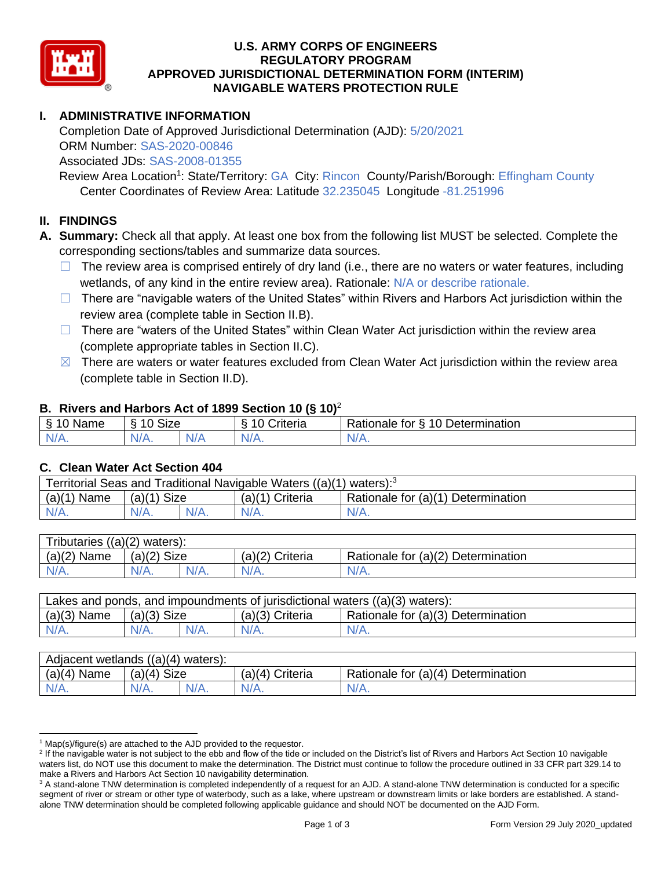

### **U.S. ARMY CORPS OF ENGINEERS APPROVED JURISDICTIONAL DETERMINATION FORM (INTERIM) NAVIGABLE WATERS PROTECTION RULE REGULATORY PROGRAM**

# **I. ADMINISTRATIVE INFORMATION**

 Completion Date of Approved Jurisdictional Determination (AJD): 5/20/2021 ORM Number: SAS-2020-00846 Associated JDs: SAS-2008-01355

Review Area Location<sup>1</sup>: State/Territory: GA City: Rincon County/Parish/Borough: Effingham County Center Coordinates of Review Area: Latitude 32.235045 Longitude -81.251996

### **II. FINDINGS**

 **A. Summary:** Check all that apply. At least one box from the following list MUST be selected. Complete the corresponding sections/tables and summarize data sources.

- $\Box$  The review area is comprised entirely of dry land (i.e., there are no waters or water features, including wetlands, of any kind in the entire review area). Rationale: N/A or describe rationale.
- □ There are "navigable waters of the United States" within Rivers and Harbors Act jurisdiction within the review area (complete table in Section II.B).
- □ There are "waters of the United States" within Clean Water Act jurisdiction within the review area (complete appropriate tables in Section II.C).
- $\boxtimes$  There are waters or water features excluded from Clean Water Act jurisdiction within the review area (complete table in Section II.D).

### **B. Rivers and Harbors Act of 1899 Section 10 (§ 10)**<sup>2</sup>

| $\sim$<br>$\sim$<br>Name<br>ི<br>u<br>د٠ | $\sim$<br>10<br>izeے |           | . .<br>`rıtorıo<br>ισπα | $\sim$ $\sim$<br>-<br>$\sim$<br>-<br>Determination<br>tor<br>tionale |
|------------------------------------------|----------------------|-----------|-------------------------|----------------------------------------------------------------------|
| N/4                                      | N/A                  | $\pm$ 1.1 | N.                      | $N/A$ .                                                              |
| 97 / TV .                                | ″⁄¬.                 | N.        | .                       |                                                                      |

### **C. Clean Water Act Section 404**

| Territorial Seas and Traditional Navigable Waters $((a)(1)$ waters): <sup>3</sup> |                    |                   |                                    |  |  |
|-----------------------------------------------------------------------------------|--------------------|-------------------|------------------------------------|--|--|
| (a)(1)<br>` Name                                                                  | $(a)(1)$ Size      | $(a)(1)$ Criteria | Rationale for (a)(1) Determination |  |  |
| $N/A$ .                                                                           | $N/A$ .<br>$N/A$ . | $N/A$ .           | $N/A$ .                            |  |  |

| Tributaries $((a)(2)$ waters): |               |      |                   |                                    |  |
|--------------------------------|---------------|------|-------------------|------------------------------------|--|
| $(a)(2)$ Name                  | $(a)(2)$ Size |      | $(a)(2)$ Criteria | Rationale for (a)(2) Determination |  |
| $N/A$ .                        | $N/A$ .       | N/A. | $N/A$ .           | N/A.                               |  |
|                                |               |      |                   |                                    |  |

| Lakes and ponds, and impoundments of jurisdictional waters $((a)(3)$ waters): |               |         |                 |                                    |  |  |
|-------------------------------------------------------------------------------|---------------|---------|-----------------|------------------------------------|--|--|
| $(a)(3)$ Name                                                                 | $(a)(3)$ Size |         | (a)(3) Criteria | Rationale for (a)(3) Determination |  |  |
| N/A.                                                                          | $N/A$ .       | $N/A$ . | $N/A$ .         | $N/A$ .                            |  |  |
|                                                                               |               |         |                 |                                    |  |  |

| Adjacent wetlands $((a)(4)$ waters): |               |         |                   |                                    |  |  |  |
|--------------------------------------|---------------|---------|-------------------|------------------------------------|--|--|--|
| $(a)(4)$ Name                        | $(a)(4)$ Size |         | $(a)(4)$ Criteria | Rationale for (a)(4) Determination |  |  |  |
| $N/A$ .                              | N/A.          | $N/A$ . | $N/A$ .           | $N/A$ .                            |  |  |  |
|                                      |               |         |                   |                                    |  |  |  |

 $1$  Map(s)/figure(s) are attached to the AJD provided to the requestor.

<sup>&</sup>lt;sup>2</sup> If the navigable water is not subject to the ebb and flow of the tide or included on the District's list of Rivers and Harbors Act Section 10 navigable waters list, do NOT use this document to make the determination. The District must continue to follow the procedure outlined in 33 CFR part 329.14 to make a Rivers and Harbors Act Section 10 navigability determination.

<sup>&</sup>lt;sup>3</sup> A stand-alone TNW determination is completed independently of a request for an AJD. A stand-alone TNW determination is conducted for a specific segment of river or stream or other type of waterbody, such as a lake, where upstream or downstream limits or lake borders are established. A stand-alone TNW determination should be completed following applicable guidance and should NOT be documented on the AJD Form.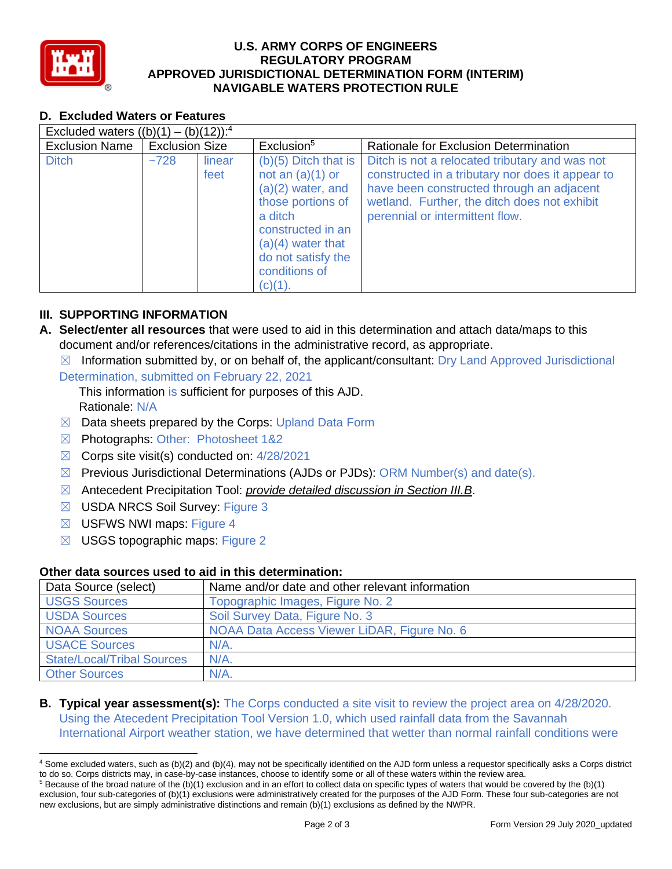

### **U.S. ARMY CORPS OF ENGINEERS APPROVED JURISDICTIONAL DETERMINATION FORM (INTERIM) NAVIGABLE WATERS PROTECTION RULE REGULATORY PROGRAM**

| D. Excluded Waters or Features<br>Excluded waters $((b)(1) - (b)(12))$ : <sup>4</sup> |      |                |                                                                                                                                                                                                      |                                                                                                                                                                                                                                    |  |
|---------------------------------------------------------------------------------------|------|----------------|------------------------------------------------------------------------------------------------------------------------------------------------------------------------------------------------------|------------------------------------------------------------------------------------------------------------------------------------------------------------------------------------------------------------------------------------|--|
|                                                                                       |      |                |                                                                                                                                                                                                      |                                                                                                                                                                                                                                    |  |
| <b>Ditch</b>                                                                          | ~128 | linear<br>feet | $(b)(5)$ Ditch that is<br>not an $(a)(1)$ or<br>$(a)(2)$ water, and<br>those portions of<br>a ditch<br>constructed in an<br>$(a)(4)$ water that<br>do not satisfy the<br>conditions of<br>$(c)(1)$ . | Ditch is not a relocated tributary and was not<br>constructed in a tributary nor does it appear to<br>have been constructed through an adjacent<br>wetland. Further, the ditch does not exhibit<br>perennial or intermittent flow. |  |

# **III. SUPPORTING INFORMATION**

 **A. Select/enter all resources** that were used to aid in this determination and attach data/maps to this document and/or references/citations in the administrative record, as appropriate.

 $\boxtimes$  Information submitted by, or on behalf of, the applicant/consultant: Dry Land Approved Jurisdictional

Determination, submitted on February 22, 2021

 This information is sufficient for purposes of this AJD. Rationale: N/A

- $\boxtimes$  Data sheets prepared by the Corps: Upland Data Form
- ☒ Photographs: Other: Photosheet 1&2
- $\boxtimes$  Corps site visit(s) conducted on: 4/28/2021
- $\boxtimes$  Previous Jurisdictional Determinations (AJDs or PJDs): ORM Number(s) and date(s).
- ☒ Antecedent Precipitation Tool: *provide detailed discussion in Section III.B*.
- ☒ USDA NRCS Soil Survey: Figure 3
- ☒ USFWS NWI maps: Figure 4
- $\boxtimes$  USGS topographic maps: Figure 2

# **Other data sources used to aid in this determination:**

| Data Source (select)              | Name and/or date and other relevant information |
|-----------------------------------|-------------------------------------------------|
| <b>USGS Sources</b>               | Topographic Images, Figure No. 2                |
| <b>USDA Sources</b>               | Soil Survey Data, Figure No. 3                  |
| <b>NOAA Sources</b>               | NOAA Data Access Viewer LiDAR, Figure No. 6     |
| <b>USACE Sources</b>              | $N/A$ .                                         |
| <b>State/Local/Tribal Sources</b> | $N/A$ .                                         |
| <b>Other Sources</b>              | $N/A$ .                                         |

# **B. Typical year assessment(s):** The Corps conducted a site visit to review the project area on 4/28/2020. Using the Atecedent Precipitation Tool Version 1.0, which used rainfall data from the Savannah International Airport weather station, we have determined that wetter than normal rainfall conditions were

<sup>&</sup>lt;sup>4</sup> Some excluded waters, such as (b)(2) and (b)(4), may not be specifically identified on the AJD form unless a requestor specifically asks a Corps district to do so. Corps districts may, in case-by-case instances, choose to identify some or all of these waters within the review area. to do so. Corps districts may, in case-by-case instances, choose to identify some or all of these waters within the review area.<br><sup>5</sup> Because of the broad nature of the (b)(1) exclusion and in an effort to collect data on s

 exclusion, four sub-categories of (b)(1) exclusions were administratively created for the purposes of the AJD Form. These four sub-categories are not new exclusions, but are simply administrative distinctions and remain (b)(1) exclusions as defined by the NWPR.